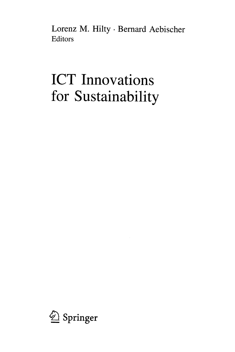Lorenz M. Hilty • Bernard Aebischer Editors

## ICT Innovations for Sustainability

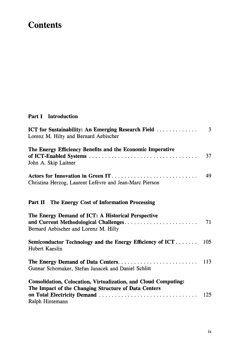## **Contents**

## Part I Introduction

| <b>ICT</b> for Sustainability: An Emerging Research Field<br>Lorenz M. Hilty and Bernard Aebischer                                         | 3  |
|--------------------------------------------------------------------------------------------------------------------------------------------|----|
| The Energy Efficiency Benefits and the Economic Imperative<br>John A. Skip Laitner                                                         | 37 |
| Actors for Innovation in Green IT<br>Christina Herzog, Laurent Lefèvre and Jean-Marc Pierson                                               | 49 |
| Part II The Energy Cost of Information Processing                                                                                          |    |
| The Energy Demand of ICT: A Historical Perspective<br>Bernard Aebischer and Lorenz M. Hilty                                                | 71 |
| Semiconductor Technology and the Energy Efficiency of ICT 105<br>Hubert Kaeslin                                                            |    |
| Gunnar Schomaker, Stefan Janacek and Daniel Schlitt                                                                                        |    |
| Consolidation, Colocation, Virtualization, and Cloud Computing:<br>The Impact of the Changing Structure of Data Centers<br>Ralph Hintemann |    |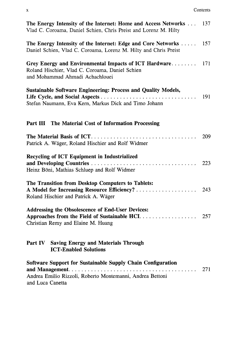| The Energy Intensity of the Internet: Home and Access Networks<br>Vlad C. Coroama, Daniel Schien, Chris Preist and Lorenz M. Hilty           | 137 |
|----------------------------------------------------------------------------------------------------------------------------------------------|-----|
| The Energy Intensity of the Internet: Edge and Core Networks<br>Daniel Schien, Vlad C. Coroama, Lorenz M. Hilty and Chris Preist             | 157 |
| Grey Energy and Environmental Impacts of ICT Hardware<br>Roland Hischier, Vlad C. Coroama, Daniel Schien<br>and Mohammad Ahmadi Achachlouei  | 171 |
| Sustainable Software Engineering: Process and Quality Models,<br>Stefan Naumann, Eva Kern, Markus Dick and Timo Johann                       | 191 |
| Part III<br>The Material Cost of Information Processing                                                                                      |     |
| Patrick A. Wäger, Roland Hischier and Rolf Widmer                                                                                            | 209 |
| Recycling of ICT Equipment in Industrialized<br>Heinz Böni, Mathias Schluep and Rolf Widmer                                                  | 223 |
| The Transition from Desktop Computers to Tablets:<br>Roland Hischier and Patrick A. Wäger                                                    |     |
| Addressing the Obsolescence of End-User Devices:<br>Approaches from the Field of Sustainable HCI.<br>Christian Remy and Elaine M. Huang      | 257 |
| Part IV Saving Energy and Materials Through<br><b>ICT-Enabled Solutions</b>                                                                  |     |
| Software Support for Sustainable Supply Chain Configuration<br>Andrea Emilio Rizzoli, Roberto Montemanni, Andrea Bettoni<br>and Luca Canetta | 271 |